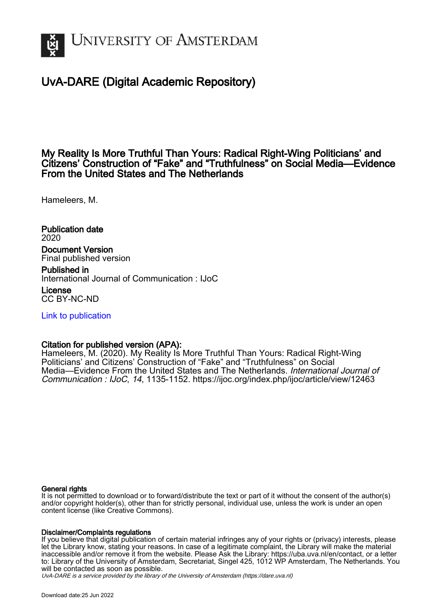

# UvA-DARE (Digital Academic Repository)

## My Reality Is More Truthful Than Yours: Radical Right-Wing Politicians' and Citizens' Construction of "Fake" and "Truthfulness" on Social Media—Evidence From the United States and The Netherlands

Hameleers, M.

Publication date 2020 Document Version Final published version

Published in International Journal of Communication : IJoC

License CC BY-NC-ND

[Link to publication](https://dare.uva.nl/personal/pure/en/publications/my-reality-is-more-truthful-than-yours-radical-rightwing-politicians-and-citizens-construction-of-fake-and-truthfulness-on-social-mediaevidence-from-the-united-states-and-the-netherlands(ae65a179-d50e-41ec-a6f7-03a9ef104119).html)

## Citation for published version (APA):

Hameleers, M. (2020). My Reality Is More Truthful Than Yours: Radical Right-Wing Politicians' and Citizens' Construction of "Fake" and "Truthfulness" on Social Media—Evidence From the United States and The Netherlands. International Journal of Communication : IJoC, 14, 1135-1152. <https://ijoc.org/index.php/ijoc/article/view/12463>

## General rights

It is not permitted to download or to forward/distribute the text or part of it without the consent of the author(s) and/or copyright holder(s), other than for strictly personal, individual use, unless the work is under an open content license (like Creative Commons).

## Disclaimer/Complaints regulations

If you believe that digital publication of certain material infringes any of your rights or (privacy) interests, please let the Library know, stating your reasons. In case of a legitimate complaint, the Library will make the material inaccessible and/or remove it from the website. Please Ask the Library: https://uba.uva.nl/en/contact, or a letter to: Library of the University of Amsterdam, Secretariat, Singel 425, 1012 WP Amsterdam, The Netherlands. You will be contacted as soon as possible.

UvA-DARE is a service provided by the library of the University of Amsterdam (http*s*://dare.uva.nl)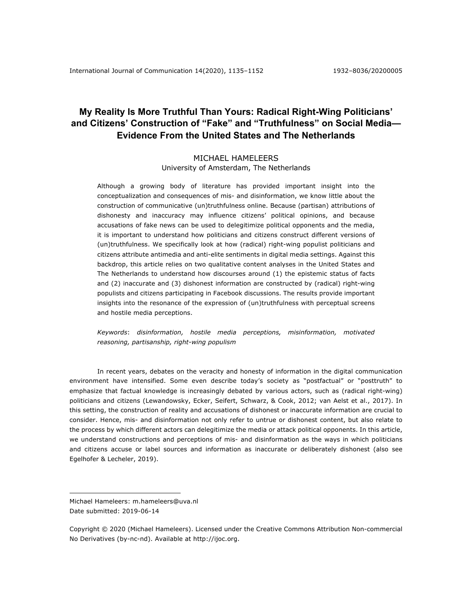## **My Reality Is More Truthful Than Yours: Radical Right-Wing Politicians' and Citizens' Construction of "Fake" and "Truthfulness" on Social Media— Evidence From the United States and The Netherlands**

## MICHAEL HAMELEERS University of Amsterdam, The Netherlands

Although a growing body of literature has provided important insight into the conceptualization and consequences of mis- and disinformation, we know little about the construction of communicative (un)truthfulness online. Because (partisan) attributions of dishonesty and inaccuracy may influence citizens' political opinions, and because accusations of fake news can be used to delegitimize political opponents and the media, it is important to understand how politicians and citizens construct different versions of (un)truthfulness. We specifically look at how (radical) right-wing populist politicians and citizens attribute antimedia and anti-elite sentiments in digital media settings. Against this backdrop, this article relies on two qualitative content analyses in the United States and The Netherlands to understand how discourses around (1) the epistemic status of facts and (2) inaccurate and (3) dishonest information are constructed by (radical) right-wing populists and citizens participating in Facebook discussions. The results provide important insights into the resonance of the expression of (un)truthfulness with perceptual screens and hostile media perceptions.

*Keywords*: *disinformation, hostile media perceptions, misinformation, motivated reasoning, partisanship, right-wing populism*

In recent years, debates on the veracity and honesty of information in the digital communication environment have intensified. Some even describe today's society as "postfactual" or "posttruth" to emphasize that factual knowledge is increasingly debated by various actors, such as (radical right-wing) politicians and citizens (Lewandowsky, Ecker, Seifert, Schwarz, & Cook, 2012; van Aelst et al., 2017). In this setting, the construction of reality and accusations of dishonest or inaccurate information are crucial to consider. Hence, mis- and disinformation not only refer to untrue or dishonest content, but also relate to the process by which different actors can delegitimize the media or attack political opponents. In this article, we understand constructions and perceptions of mis- and disinformation as the ways in which politicians and citizens accuse or label sources and information as inaccurate or deliberately dishonest (also see Egelhofer & Lecheler, 2019).

Michael Hameleers: m.hameleers@uva.nl Date submitted: 2019-06-14

Copyright © 2020 (Michael Hameleers). Licensed under the Creative Commons Attribution Non-commercial No Derivatives (by-nc-nd). Available at http://ijoc.org.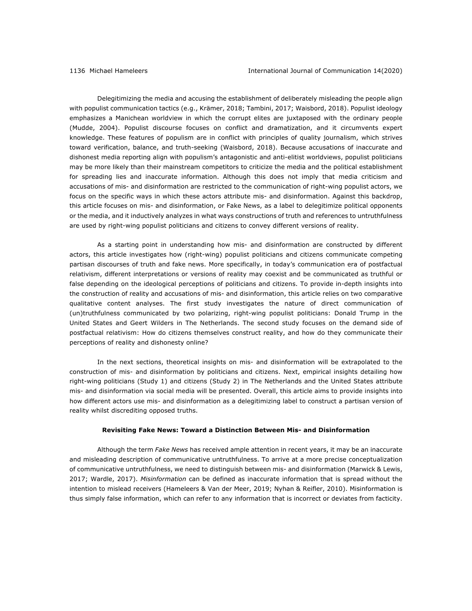Delegitimizing the media and accusing the establishment of deliberately misleading the people align with populist communication tactics (e.g., Krämer, 2018; Tambini, 2017; Waisbord, 2018). Populist ideology emphasizes a Manichean worldview in which the corrupt elites are juxtaposed with the ordinary people (Mudde, 2004). Populist discourse focuses on conflict and dramatization, and it circumvents expert knowledge. These features of populism are in conflict with principles of quality journalism, which strives toward verification, balance, and truth-seeking (Waisbord, 2018). Because accusations of inaccurate and dishonest media reporting align with populism's antagonistic and anti-elitist worldviews, populist politicians may be more likely than their mainstream competitors to criticize the media and the political establishment for spreading lies and inaccurate information. Although this does not imply that media criticism and accusations of mis- and disinformation are restricted to the communication of right-wing populist actors, we focus on the specific ways in which these actors attribute mis- and disinformation. Against this backdrop, this article focuses on mis- and disinformation, or Fake News, as a label to delegitimize political opponents or the media, and it inductively analyzes in what ways constructions of truth and references to untruthfulness are used by right-wing populist politicians and citizens to convey different versions of reality.

As a starting point in understanding how mis- and disinformation are constructed by different actors, this article investigates how (right-wing) populist politicians and citizens communicate competing partisan discourses of truth and fake news. More specifically, in today's communication era of postfactual relativism, different interpretations or versions of reality may coexist and be communicated as truthful or false depending on the ideological perceptions of politicians and citizens. To provide in-depth insights into the construction of reality and accusations of mis- and disinformation, this article relies on two comparative qualitative content analyses. The first study investigates the nature of direct communication of (un)truthfulness communicated by two polarizing, right-wing populist politicians: Donald Trump in the United States and Geert Wilders in The Netherlands. The second study focuses on the demand side of postfactual relativism: How do citizens themselves construct reality, and how do they communicate their perceptions of reality and dishonesty online?

In the next sections, theoretical insights on mis- and disinformation will be extrapolated to the construction of mis- and disinformation by politicians and citizens. Next, empirical insights detailing how right-wing politicians (Study 1) and citizens (Study 2) in The Netherlands and the United States attribute mis- and disinformation via social media will be presented. Overall, this article aims to provide insights into how different actors use mis- and disinformation as a delegitimizing label to construct a partisan version of reality whilst discrediting opposed truths.

### **Revisiting Fake News: Toward a Distinction Between Mis- and Disinformation**

Although the term *Fake News* has received ample attention in recent years, it may be an inaccurate and misleading description of communicative untruthfulness. To arrive at a more precise conceptualization of communicative untruthfulness, we need to distinguish between mis- and disinformation (Marwick & Lewis, 2017; Wardle, 2017). *Misinformation* can be defined as inaccurate information that is spread without the intention to mislead receivers (Hameleers & Van der Meer, 2019; Nyhan & Reifler, 2010). Misinformation is thus simply false information, which can refer to any information that is incorrect or deviates from facticity.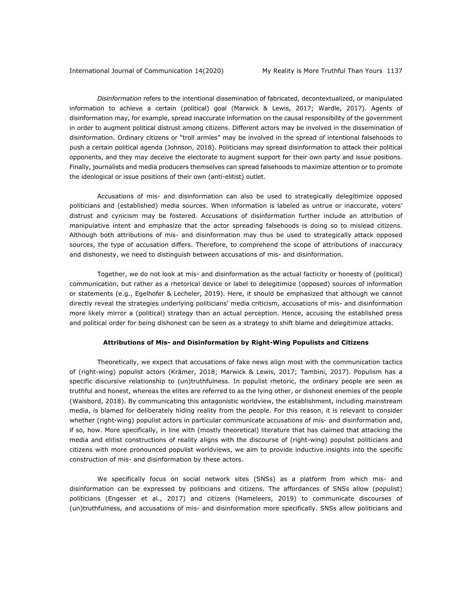*Disinformation* refers to the intentional dissemination of fabricated, decontextualized, or manipulated information to achieve a certain (political) goal (Marwick & Lewis, 2017; Wardle, 2017). Agents of disinformation may, for example, spread inaccurate information on the causal responsibility of the government in order to augment political distrust among citizens. Different actors may be involved in the dissemination of disinformation. Ordinary citizens or "troll armies" may be involved in the spread of intentional falsehoods to push a certain political agenda (Johnson, 2018). Politicians may spread disinformation to attack their political opponents, and they may deceive the electorate to augment support for their own party and issue positions. Finally, journalists and media producers themselves can spread falsehoods to maximize attention or to promote the ideological or issue positions of their own (anti-elitist) outlet.

Accusations of mis- and disinformation can also be used to strategically delegitimize opposed politicians and (established) media sources. When information is labeled as untrue or inaccurate, voters' distrust and cynicism may be fostered. Accusations of disinformation further include an attribution of manipulative intent and emphasize that the actor spreading falsehoods is doing so to mislead citizens. Although both attributions of mis- and disinformation may thus be used to strategically attack opposed sources, the type of accusation differs. Therefore, to comprehend the scope of attributions of inaccuracy and dishonesty, we need to distinguish between accusations of mis- and disinformation.

Together, we do not look at mis- and disinformation as the actual facticity or honesty of (political) communication, but rather as a rhetorical device or label to delegitimize (opposed) sources of information or statements (e.g., Egelhofer & Lecheler, 2019). Here, it should be emphasized that although we cannot directly reveal the strategies underlying politicians' media criticism, accusations of mis- and disinformation more likely mirror a (political) strategy than an actual perception. Hence, accusing the established press and political order for being dishonest can be seen as a strategy to shift blame and delegitimize attacks.

## **Attributions of Mis- and Disinformation by Right-Wing Populists and Citizens**

Theoretically, we expect that accusations of fake news align most with the communication tactics of (right-wing) populist actors (Krämer, 2018; Marwick & Lewis, 2017; Tambini, 2017). Populism has a specific discursive relationship to (un)truthfulness. In populist rhetoric, the ordinary people are seen as truthful and honest, whereas the elites are referred to as the lying other, or dishonest enemies of the people (Waisbord, 2018). By communicating this antagonistic worldview, the establishment, including mainstream media, is blamed for deliberately hiding reality from the people. For this reason, it is relevant to consider whether (right-wing) populist actors in particular communicate accusations of mis- and disinformation and, if so, how. More specifically, in line with (mostly theoretical) literature that has claimed that attacking the media and elitist constructions of reality aligns with the discourse of (right-wing) populist politicians and citizens with more pronounced populist worldviews, we aim to provide inductive insights into the specific construction of mis- and disinformation by these actors.

We specifically focus on social network sites (SNSs) as a platform from which mis- and disinformation can be expressed by politicians and citizens. The affordances of SNSs allow (populist) politicians (Engesser et al., 2017) and citizens (Hameleers, 2019) to communicate discourses of (un)truthfulness, and accusations of mis- and disinformation more specifically. SNSs allow politicians and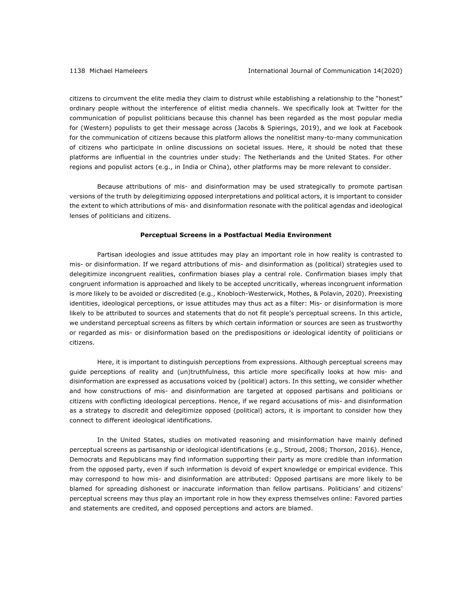citizens to circumvent the elite media they claim to distrust while establishing a relationship to the "honest" ordinary people without the interference of elitist media channels. We specifically look at Twitter for the communication of populist politicians because this channel has been regarded as the most popular media for (Western) populists to get their message across (Jacobs & Spierings, 2019), and we look at Facebook for the communication of citizens because this platform allows the nonelitist many-to-many communication of citizens who participate in online discussions on societal issues. Here, it should be noted that these platforms are influential in the countries under study: The Netherlands and the United States. For other regions and populist actors (e.g., in India or China), other platforms may be more relevant to consider.

Because attributions of mis- and disinformation may be used strategically to promote partisan versions of the truth by delegitimizing opposed interpretations and political actors, it is important to consider the extent to which attributions of mis- and disinformation resonate with the political agendas and ideological lenses of politicians and citizens.

### **Perceptual Screens in a Postfactual Media Environment**

Partisan ideologies and issue attitudes may play an important role in how reality is contrasted to mis- or disinformation. If we regard attributions of mis- and disinformation as (political) strategies used to delegitimize incongruent realities, confirmation biases play a central role. Confirmation biases imply that congruent information is approached and likely to be accepted uncritically, whereas incongruent information is more likely to be avoided or discredited (e.g., Knobloch-Westerwick, Mothes, & Polavin, 2020). Preexisting identities, ideological perceptions, or issue attitudes may thus act as a filter: Mis- or disinformation is more likely to be attributed to sources and statements that do not fit people's perceptual screens. In this article, we understand perceptual screens as filters by which certain information or sources are seen as trustworthy or regarded as mis- or disinformation based on the predispositions or ideological identity of politicians or citizens.

Here, it is important to distinguish perceptions from expressions. Although perceptual screens may guide perceptions of reality and (un)truthfulness, this article more specifically looks at how mis- and disinformation are expressed as accusations voiced by (political) actors. In this setting, we consider whether and how constructions of mis- and disinformation are targeted at opposed partisans and politicians or citizens with conflicting ideological perceptions. Hence, if we regard accusations of mis- and disinformation as a strategy to discredit and delegitimize opposed (political) actors, it is important to consider how they connect to different ideological identifications.

In the United States, studies on motivated reasoning and misinformation have mainly defined perceptual screens as partisanship or ideological identifications (e.g., Stroud, 2008; Thorson, 2016). Hence, Democrats and Republicans may find information supporting their party as more credible than information from the opposed party, even if such information is devoid of expert knowledge or empirical evidence. This may correspond to how mis- and disinformation are attributed: Opposed partisans are more likely to be blamed for spreading dishonest or inaccurate information than fellow partisans. Politicians' and citizens' perceptual screens may thus play an important role in how they express themselves online: Favored parties and statements are credited, and opposed perceptions and actors are blamed.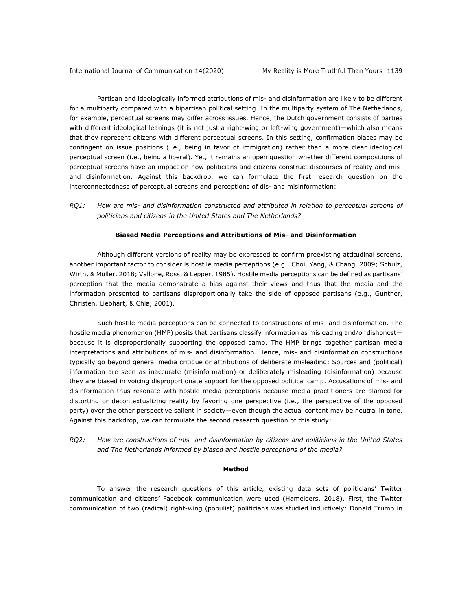Partisan and ideologically informed attributions of mis- and disinformation are likely to be different for a multiparty compared with a bipartisan political setting. In the multiparty system of The Netherlands, for example, perceptual screens may differ across issues. Hence, the Dutch government consists of parties with different ideological leanings (it is not just a right-wing or left-wing government)—which also means that they represent citizens with different perceptual screens. In this setting, confirmation biases may be contingent on issue positions (i.e., being in favor of immigration) rather than a more clear ideological perceptual screen (i.e., being a liberal). Yet, it remains an open question whether different compositions of perceptual screens have an impact on how politicians and citizens construct discourses of reality and misand disinformation. Against this backdrop, we can formulate the first research question on the interconnectedness of perceptual screens and perceptions of dis- and misinformation:

*RQ1: How are mis- and disinformation constructed and attributed in relation to perceptual screens of politicians and citizens in the United States and The Netherlands?*

### **Biased Media Perceptions and Attributions of Mis- and Disinformation**

Although different versions of reality may be expressed to confirm preexisting attitudinal screens, another important factor to consider is hostile media perceptions (e.g., Choi, Yang, & Chang, 2009; Schulz, Wirth, & Müller, 2018; Vallone, Ross, & Lepper, 1985). Hostile media perceptions can be defined as partisans' perception that the media demonstrate a bias against their views and thus that the media and the information presented to partisans disproportionally take the side of opposed partisans (e.g., Gunther, Christen, Liebhart, & Chia, 2001).

Such hostile media perceptions can be connected to constructions of mis- and disinformation. The hostile media phenomenon (HMP) posits that partisans classify information as misleading and/or dishonest because it is disproportionally supporting the opposed camp. The HMP brings together partisan media interpretations and attributions of mis- and disinformation. Hence, mis- and disinformation constructions typically go beyond general media critique or attributions of deliberate misleading: Sources and (political) information are seen as inaccurate (misinformation) or deliberately misleading (disinformation) because they are biased in voicing disproportionate support for the opposed political camp. Accusations of mis- and disinformation thus resonate with hostile media perceptions because media practitioners are blamed for distorting or decontextualizing reality by favoring one perspective (i.e., the perspective of the opposed party) over the other perspective salient in society—even though the actual content may be neutral in tone. Against this backdrop, we can formulate the second research question of this study:

*RQ2: How are constructions of mis- and disinformation by citizens and politicians in the United States and The Netherlands informed by biased and hostile perceptions of the media?*

### **Method**

To answer the research questions of this article, existing data sets of politicians' Twitter communication and citizens' Facebook communication were used (Hameleers, 2018). First, the Twitter communication of two (radical) right-wing (populist) politicians was studied inductively: Donald Trump in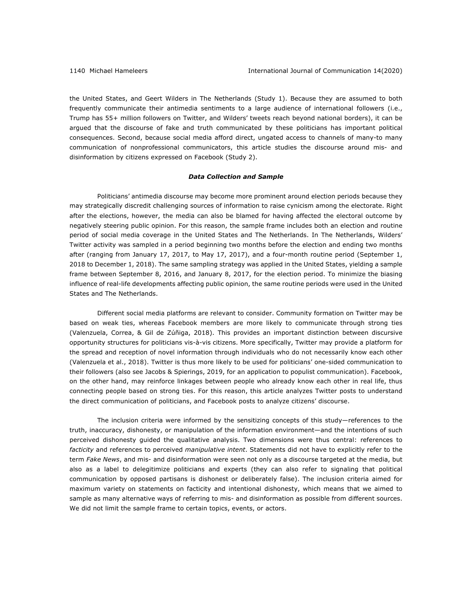the United States, and Geert Wilders in The Netherlands (Study 1). Because they are assumed to both frequently communicate their antimedia sentiments to a large audience of international followers (i.e., Trump has 55+ million followers on Twitter, and Wilders' tweets reach beyond national borders), it can be argued that the discourse of fake and truth communicated by these politicians has important political consequences. Second, because social media afford direct, ungated access to channels of many-to many communication of nonprofessional communicators, this article studies the discourse around mis- and disinformation by citizens expressed on Facebook (Study 2).

## *Data Collection and Sample*

Politicians' antimedia discourse may become more prominent around election periods because they may strategically discredit challenging sources of information to raise cynicism among the electorate. Right after the elections, however, the media can also be blamed for having affected the electoral outcome by negatively steering public opinion. For this reason, the sample frame includes both an election and routine period of social media coverage in the United States and The Netherlands. In The Netherlands, Wilders' Twitter activity was sampled in a period beginning two months before the election and ending two months after (ranging from January 17, 2017, to May 17, 2017), and a four-month routine period (September 1, 2018 to December 1, 2018). The same sampling strategy was applied in the United States, yielding a sample frame between September 8, 2016, and January 8, 2017, for the election period. To minimize the biasing influence of real-life developments affecting public opinion, the same routine periods were used in the United States and The Netherlands.

Different social media platforms are relevant to consider. Community formation on Twitter may be based on weak ties, whereas Facebook members are more likely to communicate through strong ties (Valenzuela, Correa, & Gil de Zúñiga, 2018). This provides an important distinction between discursive opportunity structures for politicians vis-à-vis citizens. More specifically, Twitter may provide a platform for the spread and reception of novel information through individuals who do not necessarily know each other (Valenzuela et al., 2018). Twitter is thus more likely to be used for politicians' one-sided communication to their followers (also see Jacobs & Spierings, 2019, for an application to populist communication). Facebook, on the other hand, may reinforce linkages between people who already know each other in real life, thus connecting people based on strong ties. For this reason, this article analyzes Twitter posts to understand the direct communication of politicians, and Facebook posts to analyze citizens' discourse.

The inclusion criteria were informed by the sensitizing concepts of this study—references to the truth, inaccuracy, dishonesty, or manipulation of the information environment—and the intentions of such perceived dishonesty guided the qualitative analysis. Two dimensions were thus central: references to *facticity* and references to perceived *manipulative intent*. Statements did not have to explicitly refer to the term *Fake News*, and mis- and disinformation were seen not only as a discourse targeted at the media, but also as a label to delegitimize politicians and experts (they can also refer to signaling that political communication by opposed partisans is dishonest or deliberately false). The inclusion criteria aimed for maximum variety on statements on facticity and intentional dishonesty, which means that we aimed to sample as many alternative ways of referring to mis- and disinformation as possible from different sources. We did not limit the sample frame to certain topics, events, or actors.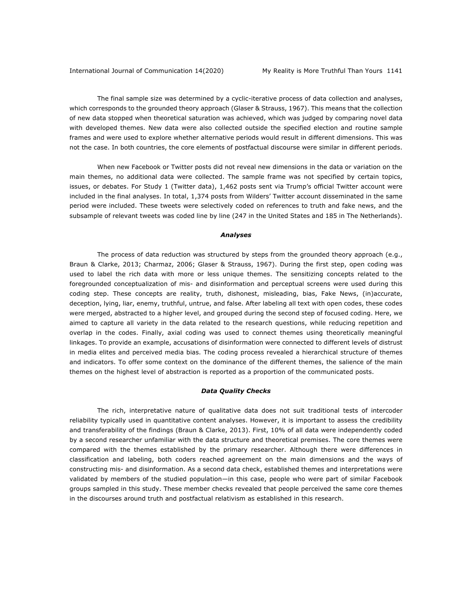The final sample size was determined by a cyclic-iterative process of data collection and analyses, which corresponds to the grounded theory approach (Glaser & Strauss, 1967). This means that the collection of new data stopped when theoretical saturation was achieved, which was judged by comparing novel data with developed themes. New data were also collected outside the specified election and routine sample frames and were used to explore whether alternative periods would result in different dimensions. This was not the case. In both countries, the core elements of postfactual discourse were similar in different periods.

When new Facebook or Twitter posts did not reveal new dimensions in the data or variation on the main themes, no additional data were collected. The sample frame was not specified by certain topics, issues, or debates. For Study 1 (Twitter data), 1,462 posts sent via Trump's official Twitter account were included in the final analyses. In total, 1,374 posts from Wilders' Twitter account disseminated in the same period were included. These tweets were selectively coded on references to truth and fake news, and the subsample of relevant tweets was coded line by line (247 in the United States and 185 in The Netherlands).

#### *Analyses*

The process of data reduction was structured by steps from the grounded theory approach (e.g., Braun & Clarke, 2013; Charmaz, 2006; Glaser & Strauss, 1967). During the first step, open coding was used to label the rich data with more or less unique themes. The sensitizing concepts related to the foregrounded conceptualization of mis- and disinformation and perceptual screens were used during this coding step. These concepts are reality, truth, dishonest, misleading, bias, Fake News, (in)accurate, deception, lying, liar, enemy, truthful, untrue, and false. After labeling all text with open codes, these codes were merged, abstracted to a higher level, and grouped during the second step of focused coding. Here, we aimed to capture all variety in the data related to the research questions, while reducing repetition and overlap in the codes. Finally, axial coding was used to connect themes using theoretically meaningful linkages. To provide an example, accusations of disinformation were connected to different levels of distrust in media elites and perceived media bias. The coding process revealed a hierarchical structure of themes and indicators. To offer some context on the dominance of the different themes, the salience of the main themes on the highest level of abstraction is reported as a proportion of the communicated posts.

## *Data Quality Checks*

The rich, interpretative nature of qualitative data does not suit traditional tests of intercoder reliability typically used in quantitative content analyses. However, it is important to assess the credibility and transferability of the findings (Braun & Clarke, 2013). First, 10% of all data were independently coded by a second researcher unfamiliar with the data structure and theoretical premises. The core themes were compared with the themes established by the primary researcher. Although there were differences in classification and labeling, both coders reached agreement on the main dimensions and the ways of constructing mis- and disinformation. As a second data check, established themes and interpretations were validated by members of the studied population—in this case, people who were part of similar Facebook groups sampled in this study. These member checks revealed that people perceived the same core themes in the discourses around truth and postfactual relativism as established in this research.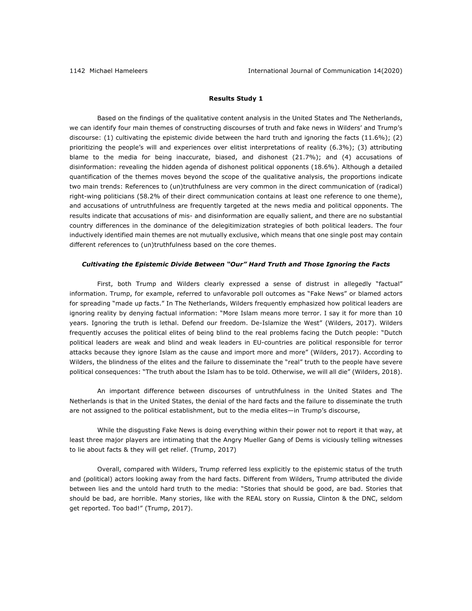## **Results Study 1**

Based on the findings of the qualitative content analysis in the United States and The Netherlands, we can identify four main themes of constructing discourses of truth and fake news in Wilders' and Trump's discourse: (1) cultivating the epistemic divide between the hard truth and ignoring the facts (11.6%); (2) prioritizing the people's will and experiences over elitist interpretations of reality (6.3%); (3) attributing blame to the media for being inaccurate, biased, and dishonest (21.7%); and (4) accusations of disinformation: revealing the hidden agenda of dishonest political opponents (18.6%). Although a detailed quantification of the themes moves beyond the scope of the qualitative analysis, the proportions indicate two main trends: References to (un)truthfulness are very common in the direct communication of (radical) right-wing politicians (58.2% of their direct communication contains at least one reference to one theme), and accusations of untruthfulness are frequently targeted at the news media and political opponents. The results indicate that accusations of mis- and disinformation are equally salient, and there are no substantial country differences in the dominance of the delegitimization strategies of both political leaders. The four inductively identified main themes are not mutually exclusive, which means that one single post may contain different references to (un)truthfulness based on the core themes.

#### *Cultivating the Epistemic Divide Between "Our" Hard Truth and Those Ignoring the Facts*

First, both Trump and Wilders clearly expressed a sense of distrust in allegedly "factual" information. Trump, for example, referred to unfavorable poll outcomes as "Fake News" or blamed actors for spreading "made up facts." In The Netherlands, Wilders frequently emphasized how political leaders are ignoring reality by denying factual information: "More Islam means more terror. I say it for more than 10 years. Ignoring the truth is lethal. Defend our freedom. De-Islamize the West" (Wilders, 2017). Wilders frequently accuses the political elites of being blind to the real problems facing the Dutch people: "Dutch political leaders are weak and blind and weak leaders in EU-countries are political responsible for terror attacks because they ignore Islam as the cause and import more and more" (Wilders, 2017). According to Wilders, the blindness of the elites and the failure to disseminate the "real" truth to the people have severe political consequences: "The truth about the Islam has to be told. Otherwise, we will all die" (Wilders, 2018).

An important difference between discourses of untruthfulness in the United States and The Netherlands is that in the United States, the denial of the hard facts and the failure to disseminate the truth are not assigned to the political establishment, but to the media elites—in Trump's discourse,

While the disgusting Fake News is doing everything within their power not to report it that way, at least three major players are intimating that the Angry Mueller Gang of Dems is viciously telling witnesses to lie about facts & they will get relief. (Trump, 2017)

Overall, compared with Wilders, Trump referred less explicitly to the epistemic status of the truth and (political) actors looking away from the hard facts. Different from Wilders, Trump attributed the divide between lies and the untold hard truth to the media: "Stories that should be good, are bad. Stories that should be bad, are horrible. Many stories, like with the REAL story on Russia, Clinton & the DNC, seldom get reported. Too bad!" (Trump, 2017).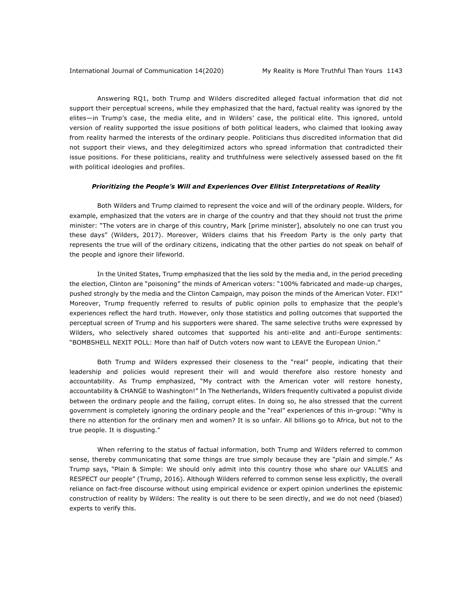Answering RQ1, both Trump and Wilders discredited alleged factual information that did not support their perceptual screens, while they emphasized that the hard, factual reality was ignored by the elites—in Trump's case, the media elite, and in Wilders' case, the political elite. This ignored, untold version of reality supported the issue positions of both political leaders, who claimed that looking away from reality harmed the interests of the ordinary people. Politicians thus discredited information that did not support their views, and they delegitimized actors who spread information that contradicted their issue positions. For these politicians, reality and truthfulness were selectively assessed based on the fit with political ideologies and profiles.

### *Prioritizing the People's Will and Experiences Over Elitist Interpretations of Reality*

Both Wilders and Trump claimed to represent the voice and will of the ordinary people. Wilders, for example, emphasized that the voters are in charge of the country and that they should not trust the prime minister: "The voters are in charge of this country, Mark [prime minister], absolutely no one can trust you these days" (Wilders, 2017). Moreover, Wilders claims that his Freedom Party is the only party that represents the true will of the ordinary citizens, indicating that the other parties do not speak on behalf of the people and ignore their lifeworld.

In the United States, Trump emphasized that the lies sold by the media and, in the period preceding the election, Clinton are "poisoning" the minds of American voters: "100% fabricated and made-up charges, pushed strongly by the media and the Clinton Campaign, may poison the minds of the American Voter. FIX!" Moreover, Trump frequently referred to results of public opinion polls to emphasize that the people's experiences reflect the hard truth. However, only those statistics and polling outcomes that supported the perceptual screen of Trump and his supporters were shared. The same selective truths were expressed by Wilders, who selectively shared outcomes that supported his anti-elite and anti-Europe sentiments: "BOMBSHELL NEXIT POLL: More than half of Dutch voters now want to LEAVE the European Union."

Both Trump and Wilders expressed their closeness to the "real" people, indicating that their leadership and policies would represent their will and would therefore also restore honesty and accountability. As Trump emphasized, "My contract with the American voter will restore honesty, accountability & CHANGE to Washington!" In The Netherlands, Wilders frequently cultivated a populist divide between the ordinary people and the failing, corrupt elites. In doing so, he also stressed that the current government is completely ignoring the ordinary people and the "real" experiences of this in-group: "Why is there no attention for the ordinary men and women? It is so unfair. All billions go to Africa, but not to the true people. It is disgusting."

When referring to the status of factual information, both Trump and Wilders referred to common sense, thereby communicating that some things are true simply because they are "plain and simple." As Trump says, "Plain & Simple: We should only admit into this country those who share our VALUES and RESPECT our people" (Trump, 2016). Although Wilders referred to common sense less explicitly, the overall reliance on fact-free discourse without using empirical evidence or expert opinion underlines the epistemic construction of reality by Wilders: The reality is out there to be seen directly, and we do not need (biased) experts to verify this.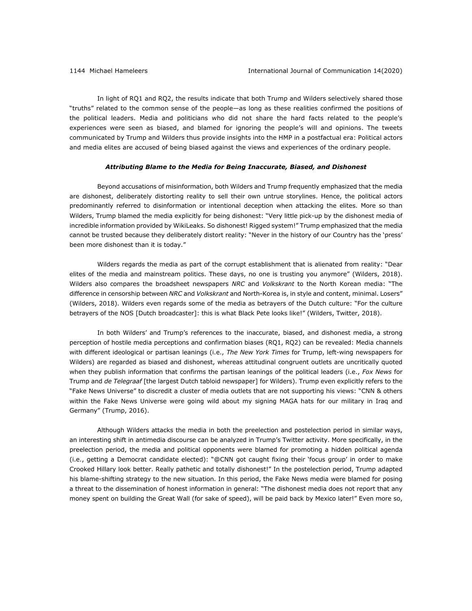In light of RQ1 and RQ2, the results indicate that both Trump and Wilders selectively shared those "truths" related to the common sense of the people—as long as these realities confirmed the positions of the political leaders. Media and politicians who did not share the hard facts related to the people's experiences were seen as biased, and blamed for ignoring the people's will and opinions. The tweets communicated by Trump and Wilders thus provide insights into the HMP in a postfactual era: Political actors and media elites are accused of being biased against the views and experiences of the ordinary people.

## *Attributing Blame to the Media for Being Inaccurate, Biased, and Dishonest*

Beyond accusations of misinformation, both Wilders and Trump frequently emphasized that the media are dishonest, deliberately distorting reality to sell their own untrue storylines. Hence, the political actors predominantly referred to disinformation or intentional deception when attacking the elites. More so than Wilders, Trump blamed the media explicitly for being dishonest: "Very little pick-up by the dishonest media of incredible information provided by WikiLeaks. So dishonest! Rigged system!" Trump emphasized that the media cannot be trusted because they deliberately distort reality: "Never in the history of our Country has the 'press' been more dishonest than it is today."

Wilders regards the media as part of the corrupt establishment that is alienated from reality: "Dear elites of the media and mainstream politics. These days, no one is trusting you anymore" (Wilders, 2018). Wilders also compares the broadsheet newspapers *NRC* and *Volkskrant* to the North Korean media: "The difference in censorship between *NRC* and *Volkskrant* and North-Korea is, in style and content, minimal. Losers" (Wilders, 2018). Wilders even regards some of the media as betrayers of the Dutch culture: "For the culture betrayers of the NOS [Dutch broadcaster]: this is what Black Pete looks like!" (Wilders, Twitter, 2018).

In both Wilders' and Trump's references to the inaccurate, biased, and dishonest media, a strong perception of hostile media perceptions and confirmation biases (RQ1, RQ2) can be revealed: Media channels with different ideological or partisan leanings (i.e., *The New York Times* for Trump, left-wing newspapers for Wilders) are regarded as biased and dishonest, whereas attitudinal congruent outlets are uncritically quoted when they publish information that confirms the partisan leanings of the political leaders (i.e., *Fox News* for Trump and *de Telegraaf* [the largest Dutch tabloid newspaper] for Wilders). Trump even explicitly refers to the "Fake News Universe" to discredit a cluster of media outlets that are not supporting his views: "CNN & others within the Fake News Universe were going wild about my signing MAGA hats for our military in Iraq and Germany" (Trump, 2016).

Although Wilders attacks the media in both the preelection and postelection period in similar ways, an interesting shift in antimedia discourse can be analyzed in Trump's Twitter activity. More specifically, in the preelection period, the media and political opponents were blamed for promoting a hidden political agenda (i.e., getting a Democrat candidate elected): "@CNN got caught fixing their 'focus group' in order to make Crooked Hillary look better. Really pathetic and totally dishonest!" In the postelection period, Trump adapted his blame-shifting strategy to the new situation. In this period, the Fake News media were blamed for posing a threat to the dissemination of honest information in general: "The dishonest media does not report that any money spent on building the Great Wall (for sake of speed), will be paid back by Mexico later!" Even more so,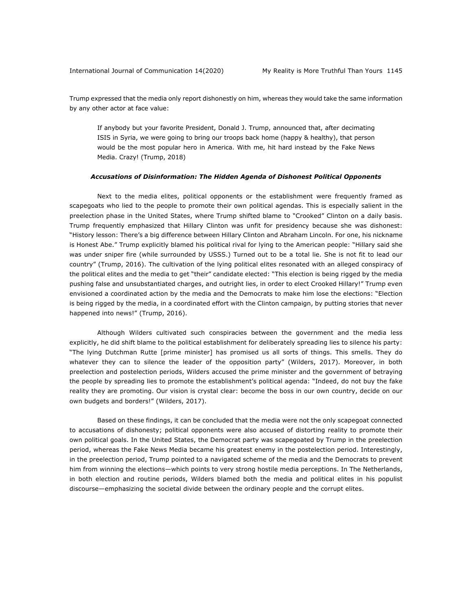Trump expressed that the media only report dishonestly on him, whereas they would take the same information by any other actor at face value:

If anybody but your favorite President, Donald J. Trump, announced that, after decimating ISIS in Syria, we were going to bring our troops back home (happy & healthy), that person would be the most popular hero in America. With me, hit hard instead by the Fake News Media. Crazy! (Trump, 2018)

## *Accusations of Disinformation: The Hidden Agenda of Dishonest Political Opponents*

Next to the media elites, political opponents or the establishment were frequently framed as scapegoats who lied to the people to promote their own political agendas. This is especially salient in the preelection phase in the United States, where Trump shifted blame to "Crooked" Clinton on a daily basis. Trump frequently emphasized that Hillary Clinton was unfit for presidency because she was dishonest: "History lesson: There's a big difference between Hillary Clinton and Abraham Lincoln. For one, his nickname is Honest Abe." Trump explicitly blamed his political rival for lying to the American people: "Hillary said she was under sniper fire (while surrounded by USSS.) Turned out to be a total lie. She is not fit to lead our country" (Trump, 2016). The cultivation of the lying political elites resonated with an alleged conspiracy of the political elites and the media to get "their" candidate elected: "This election is being rigged by the media pushing false and unsubstantiated charges, and outright lies, in order to elect Crooked Hillary!" Trump even envisioned a coordinated action by the media and the Democrats to make him lose the elections: "Election is being rigged by the media, in a coordinated effort with the Clinton campaign, by putting stories that never happened into news!" (Trump, 2016).

Although Wilders cultivated such conspiracies between the government and the media less explicitly, he did shift blame to the political establishment for deliberately spreading lies to silence his party: "The lying Dutchman Rutte [prime minister] has promised us all sorts of things. This smells. They do whatever they can to silence the leader of the opposition party" (Wilders, 2017). Moreover, in both preelection and postelection periods, Wilders accused the prime minister and the government of betraying the people by spreading lies to promote the establishment's political agenda: "Indeed, do not buy the fake reality they are promoting. Our vision is crystal clear: become the boss in our own country, decide on our own budgets and borders!" (Wilders, 2017).

Based on these findings, it can be concluded that the media were not the only scapegoat connected to accusations of dishonesty; political opponents were also accused of distorting reality to promote their own political goals. In the United States, the Democrat party was scapegoated by Trump in the preelection period, whereas the Fake News Media became his greatest enemy in the postelection period. Interestingly, in the preelection period, Trump pointed to a navigated scheme of the media and the Democrats to prevent him from winning the elections—which points to very strong hostile media perceptions. In The Netherlands, in both election and routine periods, Wilders blamed both the media and political elites in his populist discourse—emphasizing the societal divide between the ordinary people and the corrupt elites.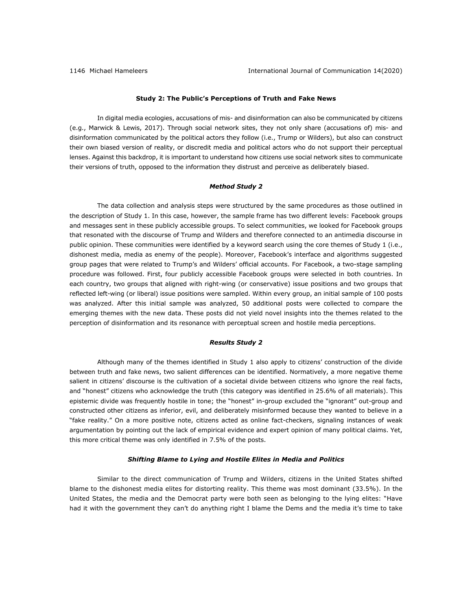## **Study 2: The Public's Perceptions of Truth and Fake News**

In digital media ecologies, accusations of mis- and disinformation can also be communicated by citizens (e.g., Marwick & Lewis, 2017). Through social network sites, they not only share (accusations of) mis- and disinformation communicated by the political actors they follow (i.e., Trump or Wilders), but also can construct their own biased version of reality, or discredit media and political actors who do not support their perceptual lenses. Against this backdrop, it is important to understand how citizens use social network sites to communicate their versions of truth, opposed to the information they distrust and perceive as deliberately biased.

### *Method Study 2*

The data collection and analysis steps were structured by the same procedures as those outlined in the description of Study 1. In this case, however, the sample frame has two different levels: Facebook groups and messages sent in these publicly accessible groups. To select communities, we looked for Facebook groups that resonated with the discourse of Trump and Wilders and therefore connected to an antimedia discourse in public opinion. These communities were identified by a keyword search using the core themes of Study 1 (i.e., dishonest media, media as enemy of the people). Moreover, Facebook's interface and algorithms suggested group pages that were related to Trump's and Wilders' official accounts. For Facebook, a two-stage sampling procedure was followed. First, four publicly accessible Facebook groups were selected in both countries. In each country, two groups that aligned with right-wing (or conservative) issue positions and two groups that reflected left-wing (or liberal) issue positions were sampled. Within every group, an initial sample of 100 posts was analyzed. After this initial sample was analyzed, 50 additional posts were collected to compare the emerging themes with the new data. These posts did not yield novel insights into the themes related to the perception of disinformation and its resonance with perceptual screen and hostile media perceptions.

## *Results Study 2*

Although many of the themes identified in Study 1 also apply to citizens' construction of the divide between truth and fake news, two salient differences can be identified. Normatively, a more negative theme salient in citizens' discourse is the cultivation of a societal divide between citizens who ignore the real facts, and "honest" citizens who acknowledge the truth (this category was identified in 25.6% of all materials). This epistemic divide was frequently hostile in tone; the "honest" in-group excluded the "ignorant" out-group and constructed other citizens as inferior, evil, and deliberately misinformed because they wanted to believe in a "fake reality." On a more positive note, citizens acted as online fact-checkers, signaling instances of weak argumentation by pointing out the lack of empirical evidence and expert opinion of many political claims. Yet, this more critical theme was only identified in 7.5% of the posts.

## *Shifting Blame to Lying and Hostile Elites in Media and Politics*

Similar to the direct communication of Trump and Wilders, citizens in the United States shifted blame to the dishonest media elites for distorting reality. This theme was most dominant (33.5%). In the United States, the media and the Democrat party were both seen as belonging to the lying elites: "Have had it with the government they can't do anything right I blame the Dems and the media it's time to take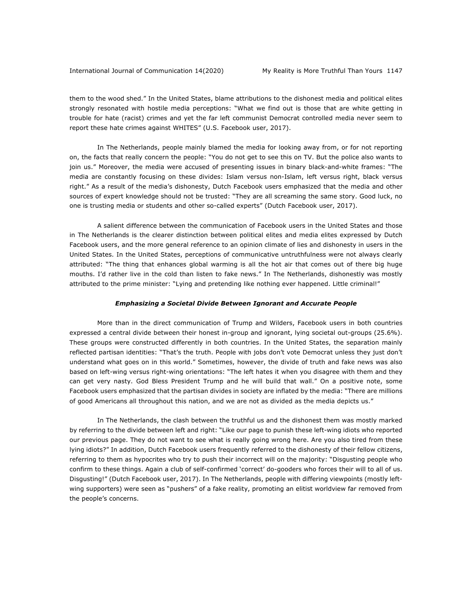them to the wood shed." In the United States, blame attributions to the dishonest media and political elites strongly resonated with hostile media perceptions: "What we find out is those that are white getting in trouble for hate (racist) crimes and yet the far left communist Democrat controlled media never seem to report these hate crimes against WHITES" (U.S. Facebook user, 2017).

In The Netherlands, people mainly blamed the media for looking away from, or for not reporting on, the facts that really concern the people: "You do not get to see this on TV. But the police also wants to join us." Moreover, the media were accused of presenting issues in binary black-and-white frames: "The media are constantly focusing on these divides: Islam versus non-Islam, left versus right, black versus right." As a result of the media's dishonesty, Dutch Facebook users emphasized that the media and other sources of expert knowledge should not be trusted: "They are all screaming the same story. Good luck, no one is trusting media or students and other so-called experts" (Dutch Facebook user, 2017).

A salient difference between the communication of Facebook users in the United States and those in The Netherlands is the clearer distinction between political elites and media elites expressed by Dutch Facebook users, and the more general reference to an opinion climate of lies and dishonesty in users in the United States. In the United States, perceptions of communicative untruthfulness were not always clearly attributed: "The thing that enhances global warming is all the hot air that comes out of there big huge mouths. I'd rather live in the cold than listen to fake news." In The Netherlands, dishonestly was mostly attributed to the prime minister: "Lying and pretending like nothing ever happened. Little criminal!"

## *Emphasizing a Societal Divide Between Ignorant and Accurate People*

More than in the direct communication of Trump and Wilders, Facebook users in both countries expressed a central divide between their honest in-group and ignorant, lying societal out-groups (25.6%). These groups were constructed differently in both countries. In the United States, the separation mainly reflected partisan identities: "That's the truth. People with jobs don't vote Democrat unless they just don't understand what goes on in this world." Sometimes, however, the divide of truth and fake news was also based on left-wing versus right-wing orientations: "The left hates it when you disagree with them and they can get very nasty. God Bless President Trump and he will build that wall." On a positive note, some Facebook users emphasized that the partisan divides in society are inflated by the media: "There are millions of good Americans all throughout this nation, and we are not as divided as the media depicts us."

In The Netherlands, the clash between the truthful us and the dishonest them was mostly marked by referring to the divide between left and right: "Like our page to punish these left-wing idiots who reported our previous page. They do not want to see what is really going wrong here. Are you also tired from these lying idiots?" In addition, Dutch Facebook users frequently referred to the dishonesty of their fellow citizens, referring to them as hypocrites who try to push their incorrect will on the majority: "Disgusting people who confirm to these things. Again a club of self-confirmed 'correct' do-gooders who forces their will to all of us. Disgusting!" (Dutch Facebook user, 2017). In The Netherlands, people with differing viewpoints (mostly leftwing supporters) were seen as "pushers" of a fake reality, promoting an elitist worldview far removed from the people's concerns.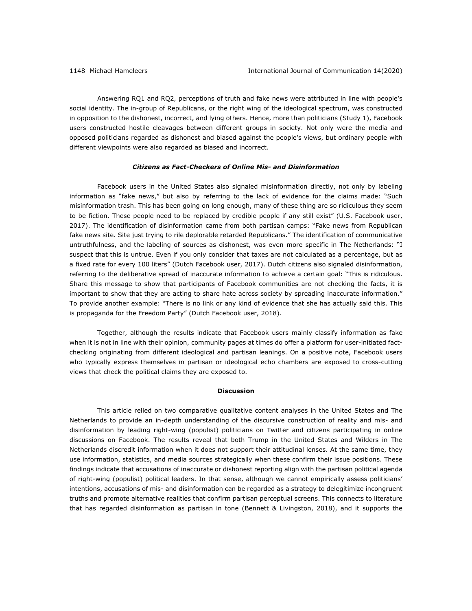Answering RQ1 and RQ2, perceptions of truth and fake news were attributed in line with people's social identity. The in-group of Republicans, or the right wing of the ideological spectrum, was constructed in opposition to the dishonest, incorrect, and lying others. Hence, more than politicians (Study 1), Facebook users constructed hostile cleavages between different groups in society. Not only were the media and opposed politicians regarded as dishonest and biased against the people's views, but ordinary people with different viewpoints were also regarded as biased and incorrect.

## *Citizens as Fact-Checkers of Online Mis- and Disinformation*

Facebook users in the United States also signaled misinformation directly, not only by labeling information as "fake news," but also by referring to the lack of evidence for the claims made: "Such misinformation trash. This has been going on long enough, many of these thing are so ridiculous they seem to be fiction. These people need to be replaced by credible people if any still exist" (U.S. Facebook user, 2017). The identification of disinformation came from both partisan camps: "Fake news from Republican fake news site. Site just trying to rile deplorable retarded Republicans." The identification of communicative untruthfulness, and the labeling of sources as dishonest, was even more specific in The Netherlands: "I suspect that this is untrue. Even if you only consider that taxes are not calculated as a percentage, but as a fixed rate for every 100 liters" (Dutch Facebook user, 2017). Dutch citizens also signaled disinformation, referring to the deliberative spread of inaccurate information to achieve a certain goal: "This is ridiculous. Share this message to show that participants of Facebook communities are not checking the facts, it is important to show that they are acting to share hate across society by spreading inaccurate information." To provide another example: "There is no link or any kind of evidence that she has actually said this. This is propaganda for the Freedom Party" (Dutch Facebook user, 2018).

Together, although the results indicate that Facebook users mainly classify information as fake when it is not in line with their opinion, community pages at times do offer a platform for user-initiated factchecking originating from different ideological and partisan leanings. On a positive note, Facebook users who typically express themselves in partisan or ideological echo chambers are exposed to cross-cutting views that check the political claims they are exposed to.

## **Discussion**

This article relied on two comparative qualitative content analyses in the United States and The Netherlands to provide an in-depth understanding of the discursive construction of reality and mis- and disinformation by leading right-wing (populist) politicians on Twitter and citizens participating in online discussions on Facebook. The results reveal that both Trump in the United States and Wilders in The Netherlands discredit information when it does not support their attitudinal lenses. At the same time, they use information, statistics, and media sources strategically when these confirm their issue positions. These findings indicate that accusations of inaccurate or dishonest reporting align with the partisan political agenda of right-wing (populist) political leaders. In that sense, although we cannot empirically assess politicians' intentions, accusations of mis- and disinformation can be regarded as a strategy to delegitimize incongruent truths and promote alternative realities that confirm partisan perceptual screens. This connects to literature that has regarded disinformation as partisan in tone (Bennett & Livingston, 2018), and it supports the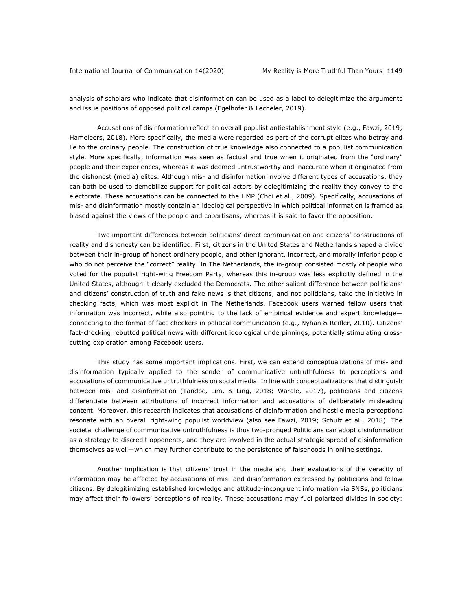analysis of scholars who indicate that disinformation can be used as a label to delegitimize the arguments and issue positions of opposed political camps (Egelhofer & Lecheler, 2019).

Accusations of disinformation reflect an overall populist antiestablishment style (e.g., Fawzi, 2019; Hameleers, 2018). More specifically, the media were regarded as part of the corrupt elites who betray and lie to the ordinary people. The construction of true knowledge also connected to a populist communication style. More specifically, information was seen as factual and true when it originated from the "ordinary" people and their experiences, whereas it was deemed untrustworthy and inaccurate when it originated from the dishonest (media) elites. Although mis- and disinformation involve different types of accusations, they can both be used to demobilize support for political actors by delegitimizing the reality they convey to the electorate. These accusations can be connected to the HMP (Choi et al., 2009). Specifically, accusations of mis- and disinformation mostly contain an ideological perspective in which political information is framed as biased against the views of the people and copartisans, whereas it is said to favor the opposition.

Two important differences between politicians' direct communication and citizens' constructions of reality and dishonesty can be identified. First, citizens in the United States and Netherlands shaped a divide between their in-group of honest ordinary people, and other ignorant, incorrect, and morally inferior people who do not perceive the "correct" reality. In The Netherlands, the in-group consisted mostly of people who voted for the populist right-wing Freedom Party, whereas this in-group was less explicitly defined in the United States, although it clearly excluded the Democrats. The other salient difference between politicians' and citizens' construction of truth and fake news is that citizens, and not politicians, take the initiative in checking facts, which was most explicit in The Netherlands. Facebook users warned fellow users that information was incorrect, while also pointing to the lack of empirical evidence and expert knowledge connecting to the format of fact-checkers in political communication (e.g., Nyhan & Reifler, 2010). Citizens' fact-checking rebutted political news with different ideological underpinnings, potentially stimulating crosscutting exploration among Facebook users.

This study has some important implications. First, we can extend conceptualizations of mis- and disinformation typically applied to the sender of communicative untruthfulness to perceptions and accusations of communicative untruthfulness on social media. In line with conceptualizations that distinguish between mis- and disinformation (Tandoc, Lim, & Ling, 2018; Wardle, 2017), politicians and citizens differentiate between attributions of incorrect information and accusations of deliberately misleading content. Moreover, this research indicates that accusations of disinformation and hostile media perceptions resonate with an overall right-wing populist worldview (also see Fawzi, 2019; Schulz et al., 2018). The societal challenge of communicative untruthfulness is thus two-pronged Politicians can adopt disinformation as a strategy to discredit opponents, and they are involved in the actual strategic spread of disinformation themselves as well—which may further contribute to the persistence of falsehoods in online settings.

Another implication is that citizens' trust in the media and their evaluations of the veracity of information may be affected by accusations of mis- and disinformation expressed by politicians and fellow citizens. By delegitimizing established knowledge and attitude-incongruent information via SNSs, politicians may affect their followers' perceptions of reality. These accusations may fuel polarized divides in society: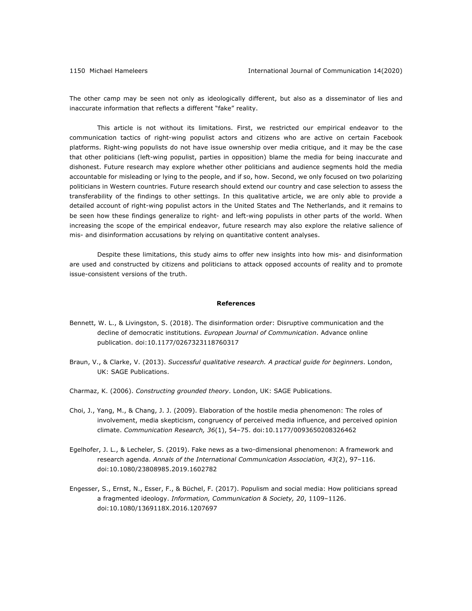The other camp may be seen not only as ideologically different, but also as a disseminator of lies and inaccurate information that reflects a different "fake" reality.

This article is not without its limitations. First, we restricted our empirical endeavor to the communication tactics of right-wing populist actors and citizens who are active on certain Facebook platforms. Right-wing populists do not have issue ownership over media critique, and it may be the case that other politicians (left-wing populist, parties in opposition) blame the media for being inaccurate and dishonest. Future research may explore whether other politicians and audience segments hold the media accountable for misleading or lying to the people, and if so, how. Second, we only focused on two polarizing politicians in Western countries. Future research should extend our country and case selection to assess the transferability of the findings to other settings. In this qualitative article, we are only able to provide a detailed account of right-wing populist actors in the United States and The Netherlands, and it remains to be seen how these findings generalize to right- and left-wing populists in other parts of the world. When increasing the scope of the empirical endeavor, future research may also explore the relative salience of mis- and disinformation accusations by relying on quantitative content analyses.

Despite these limitations, this study aims to offer new insights into how mis- and disinformation are used and constructed by citizens and politicians to attack opposed accounts of reality and to promote issue-consistent versions of the truth.

#### **References**

- Bennett, W. L., & Livingston, S. (2018). The disinformation order: Disruptive communication and the decline of democratic institutions. *European Journal of Communication*. Advance online publication. doi:10.1177/0267323118760317
- Braun, V., & Clarke, V. (2013). *Successful qualitative research. A practical guide for beginners*. London, UK: SAGE Publications.
- Charmaz, K. (2006). *Constructing grounded theory*. London, UK: SAGE Publications.
- Choi, J., Yang, M., & Chang, J. J. (2009). Elaboration of the hostile media phenomenon: The roles of involvement, media skepticism, congruency of perceived media influence, and perceived opinion climate. *Communication Research, 36*(1), 54–75. doi:10.1177/0093650208326462
- Egelhofer, J. L., & Lecheler, S. (2019). Fake news as a two-dimensional phenomenon: A framework and research agenda. *Annals of the International Communication Association, 43*(2), 97–116. doi:10.1080/23808985.2019.1602782
- Engesser, S., Ernst, N., Esser, F., & Büchel, F. (2017). Populism and social media: How politicians spread a fragmented ideology. *Information, Communication & Society, 20*, 1109–1126. doi:10.1080/1369118X.2016.1207697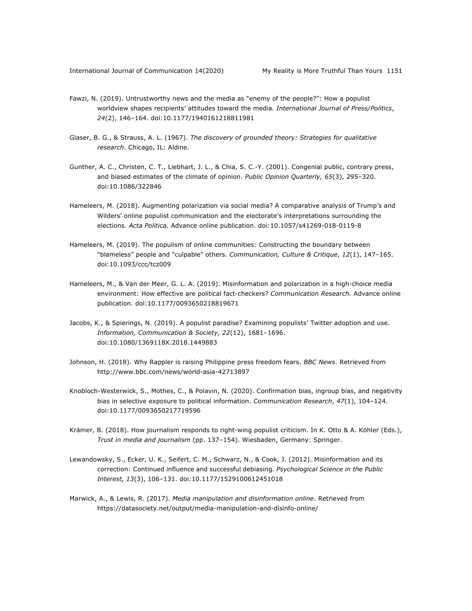- Fawzi, N. (2019). Untrustworthy news and the media as "enemy of the people?": How a populist worldview shapes recipients' attitudes toward the media. *International Journal of Press/Politics*, *24*(2), 146–164. doi:10.1177/1940161218811981
- Glaser, B. G., & Strauss, A. L. (1967). *The discovery of grounded theory: Strategies for qualitative research*. Chicago, IL: Aldine.
- Gunther, A. C., Christen, C. T., Liebhart, J. L., & Chia, S. C.-Y. (2001). Congenial public, contrary press, and biased estimates of the climate of opinion. *Public Opinion Quarterly, 65*(3), 295–320. doi:10.1086/322846
- Hameleers, M. (2018). Augmenting polarization via social media? A comparative analysis of Trump's and Wilders' online populist communication and the electorate's interpretations surrounding the elections. *Acta Politica.* Advance online publication. doi:10.1057/s41269-018-0119-8
- Hameleers, M. (2019). The populism of online communities: Constructing the boundary between "blameless" people and "culpable" others. *Communication, Culture & Critique*, *12*(1), 147–165. doi:10.1093/ccc/tcz009
- Hameleers, M., & Van der Meer, G. L. A. (2019). Misinformation and polarization in a high-choice media environment: How effective are political fact-checkers? *Communication Research.* Advance online publication. doi:10.1177/0093650218819671
- Jacobs, K., & Spierings, N. (2019). A populist paradise? Examining populists' Twitter adoption and use. *Information, Communication & Society, 22*(12), 1681–1696. doi:10.1080/1369118X.2018.1449883
- Johnson, H. (2018). Why Rappler is raising Philippine press freedom fears. *BBC News*. Retrieved from http://www.bbc.com/news/world-asia-42713897
- Knobloch-Westerwick, S., Mothes, C., & Polavin, N. (2020). Confirmation bias, ingroup bias, and negativity bias in selective exposure to political information. *Communication Research*, *47*(1), 104–124. doi:10.1177/0093650217719596
- Krämer, B. (2018). How journalism responds to right-wing populist criticism. In K. Otto & A. Köhler (Eds.), *Trust in media and journalism* (pp. 137–154). Wiesbaden, Germany: Springer.
- Lewandowsky, S., Ecker, U. K., Seifert, C. M., Schwarz, N., & Cook, J. (2012). Misinformation and its correction: Continued influence and successful debiasing. *Psychological Science in the Public Interest, 13*(3), 106–131. doi:10.1177/1529100612451018
- Marwick, A., & Lewis, R. (2017). *Media manipulation and disinformation online*. Retrieved from https://datasociety.net/output/media-manipulation-and-disinfo-online/